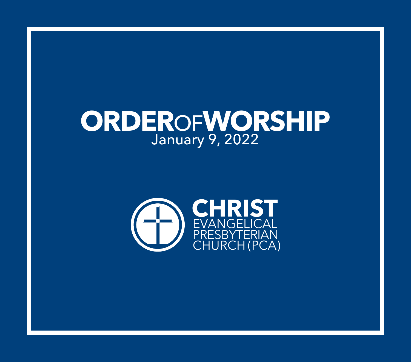# **ORDER**OF**WORSHIP** January 9, 2022

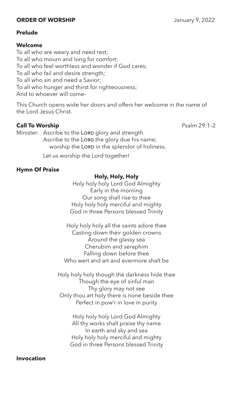# **ORDER OF WORSHIP** January 9, 2022

# **Prelude**

### **Welcome**

To all who are weary and need rest; To all who mourn and long for comfort; To all who feel worthless and wonder if God cares; To all who fail and desire strength; To all who sin and need a Savior; To all who hunger and thirst for righteousness; And to whoever will come–

This Church opens wide her doors and offers her welcome in the name of the Lord Jesus Christ.

# **Call To Worship Psalm 29:1–2**

Minister: Ascribe to the LORD glory and strength. Ascribe to the LORD the glory due his name; worship the LORD in the splendor of holiness.

Let us worship the Lord together!

# **Hymn Of Praise**

# **Holy, Holy, Holy**

Holy holy holy Lord God Almighty Early in the morning Our song shall rise to thee Holy holy holy merciful and mighty God in three Persons blessed Trinity

Holy holy holy all the saints adore thee Casting down their golden crowns Around the glassy sea Cherubim and seraphim Falling down before thee Who wert and art and evermore shalt be

Holy holy holy though the darkness hide thee Though the eye of sinful man Thy glory may not see Only thou art holy there is none beside thee Perfect in pow'r in love in purity

> Holy holy holy Lord God Almighty All thy works shall praise thy name In earth and sky and sea Holy holy holy merciful and mighty God in three Persons blessed Trinity

# **Invocation**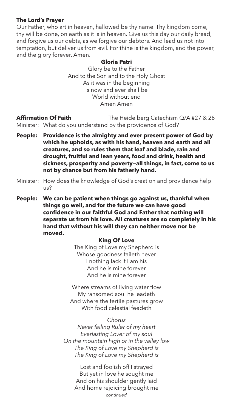# **The Lord's Prayer**

Our Father, who art in heaven, hallowed be thy name. Thy kingdom come, thy will be done, on earth as it is in heaven. Give us this day our daily bread, and forgive us our debts, as we forgive our debtors. And lead us not into temptation, but deliver us from evil. For thine is the kingdom, and the power, and the glory forever. Amen.

# **Gloria Patri**

Glory be to the Father And to the Son and to the Holy Ghost As it was in the beginning Is now and ever shall be World without end Amen Amen

**Affirmation Of Faith** The Heidelberg Catechism Q/A #27 & 28 Minister: What do you understand by the providence of God?

- **People: Providence is the almighty and ever present power of God by which he upholds, as with his hand, heaven and earth and all creatures, and so rules them that leaf and blade, rain and drought, fruitful and lean years, food and drink, health and sickness, prosperity and poverty—all things, in fact, come to us not by chance but from his fatherly hand.**
- Minister: How does the knowledge of God's creation and providence help  $115<sup>2</sup>$
- **People: We can be patient when things go against us, thankful when things go well, and for the future we can have good confidence in our faithful God and Father that nothing will separate us from his love. All creatures are so completely in his hand that without his will they can neither move nor be moved.**

# **King Of Love**

The King of Love my Shepherd is Whose goodness faileth never I nothing lack if I am his And he is mine forever And he is mine forever

Where streams of living water flow My ransomed soul he leadeth And where the fertile pastures grow With food celestial feedeth

# *Chorus*

*Never failing Ruler of my heart Everlasting Lover of my soul On the mountain high or in the valley low The King of Love my Shepherd is The King of Love my Shepherd is*

> Lost and foolish off I strayed But yet in love he sought me And on his shoulder gently laid And home rejoicing brought me *continued*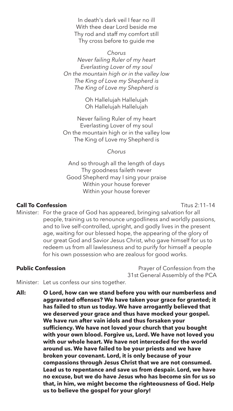In death's dark veil I fear no ill With thee dear Lord beside me Thy rod and staff my comfort still Thy cross before to guide me

### *Chorus*

*Never failing Ruler of my heart Everlasting Lover of my soul On the mountain high or in the valley low The King of Love my Shepherd is The King of Love my Shepherd is*

> Oh Hallelujah Hallelujah Oh Hallelujah Hallelujah

Never failing Ruler of my heart Everlasting Lover of my soul On the mountain high or in the valley low The King of Love my Shepherd is

*Chorus*

And so through all the length of days Thy goodness faileth never Good Shepherd may I sing your praise Within your house forever Within your house forever

# **Call To Confession** Titus 2:11–14

Minister: For the grace of God has appeared, bringing salvation for all people, training us to renounce ungodliness and worldly passions, and to live self-controlled, upright, and godly lives in the present age, waiting for our blessed hope, the appearing of the glory of our great God and Savior Jesus Christ, who gave himself for us to redeem us from all lawlessness and to purify for himself a people for his own possession who are zealous for good works.

**Public Confession Prayer of Confession from the** 31st General Assembly of the PCA

Minister: Let us confess our sins together.

**All: O Lord, how can we stand before you with our numberless and aggravated offenses? We have taken your grace for granted; it has failed to stun us today. We have arrogantly believed that we deserved your grace and thus have mocked your gospel. We have run after vain idols and thus forsaken your sufficiency. We have not loved your church that you bought with your own blood. Forgive us, Lord. We have not loved you with our whole heart. We have not interceded for the world around us. We have failed to be your priests and we have broken your covenant. Lord, it is only because of your compassions through Jesus Christ that we are not consumed. Lead us to repentance and save us from despair. Lord, we have no excuse, but we do have Jesus who has become sin for us so that, in him, we might become the righteousness of God. Help us to believe the gospel for your glory!**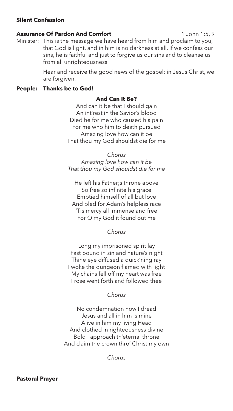# **Silent Confession**

### **Assurance Of Pardon And Comfort** 1 John 1:5, 9

Minister: This is the message we have heard from him and proclaim to you, that God is light, and in him is no darkness at all. If we confess our sins, he is faithful and just to forgive us our sins and to cleanse us from all unrighteousness.

> Hear and receive the good news of the gospel: in Jesus Christ, we are forgiven.

# **People: Thanks be to God!**

# **And Can It Be?**

And can it be that I should gain An int'rest in the Savior's blood Died he for me who caused his pain For me who him to death pursued Amazing love how can it be That thou my God shouldst die for me

*Chorus Amazing love how can it be That thou my God shouldst die for me*

He left his Father;s throne above So free so infinite his grace Emptied himself of all but love And bled for Adam's helpless race 'Tis mercy all immense and free For O my God it found out me

*Chorus*

Long my imprisoned spirit lay Fast bound in sin and nature's night Thine eye diffused a quick'ning ray I woke the dungeon flamed with light My chains fell off my heart was free I rose went forth and followed thee

# *Chorus*

No condemnation now I dread Jesus and all in him is mine Alive in him my living Head And clothed in righteousness divine Bold I approach th'eternal throne And claim the crown thro' Christ my own

*Chorus*

**Pastoral Prayer**